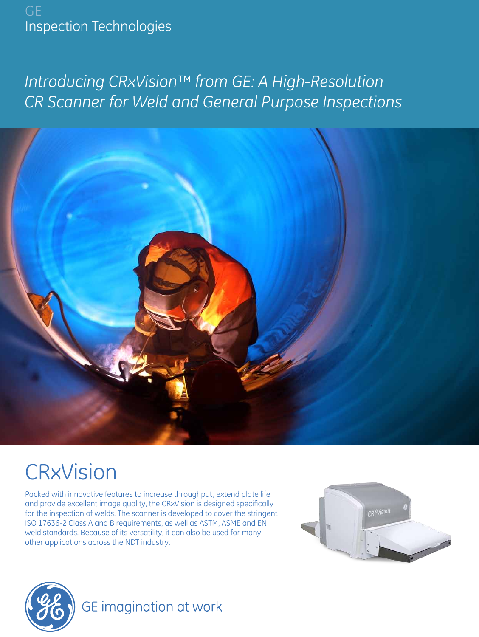GE Inspection Technologies

# *Introducing CRxVision™ from GE: A High-Resolution CR Scanner for Weld and General Purpose Inspections*



# **CRxVision**

Packed with innovative features to increase throughput, extend plate life and provide excellent image quality, the CRxVision is designed specifically for the inspection of welds. The scanner is developed to cover the stringent ISO 17636-2 Class A and B requirements, as well as ASTM, ASME and EN weld standards. Because of its versatility, it can also be used for many other applications across the NDT industry.





# GE imagination at work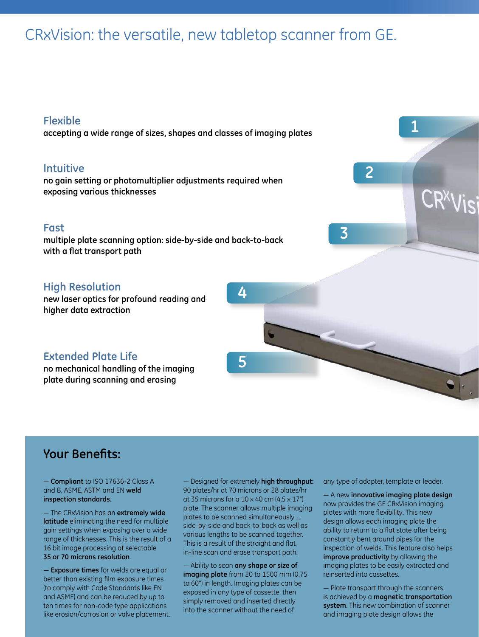# CRxVision: the versatile, new tabletop scanner from GE.

### **Flexible**

**accepting a wide range of sizes, shapes and classes of imaging plates**

### **Intuitive**

**no gain setting or photomultiplier adjustments required when exposing various thicknesses**

## **Fast**

**multiple plate scanning option: side-by-side and back-to-back with a flat transport path** 

## **High Resolution**

**new laser optics for profound reading and higher data extraction**

## **Extended Plate Life**

**no mechanical handling of the imaging plate during scanning and erasing** 

# **Your Benefits:**

— **Compliant** to ISO 17636-2 Class A and B, ASME, ASTM and EN **weld inspection standards**.

— The CRxVision has an **extremely wide latitude** eliminating the need for multiple gain settings when exposing over a wide range of thicknesses. This is the result of a 16 bit image processing at selectable **35 or 70 microns resolution**.

— **Exposure times** for welds are equal or better than existing film exposure times (to comply with Code Standards like EN and ASME) and can be reduced by up to ten times for non-code type applications like erosion/corrosion or valve placement. — Designed for extremely **high throughput:**  90 plates/hr at 70 microns or 28 plates/hr at 35 microns for a 10 x 40 cm (4.5 x 17") plate. The scanner allows multiple imaging plates to be scanned simultaneously … side-by-side and back-to-back as well as various lengths to be scanned together. This is a result of the straight and flat, in-line scan and erase transport path.

**4**

**5**

— Ability to scan **any shape or size of imaging plate** from 20 to 1500 mm (0.75 to 60") in length. Imaging plates can be exposed in any type of cassette, then simply removed and inserted directly into the scanner without the need of

any type of adapter, template or leader.

**3**

**2**

**1**

— A new **innovative imaging plate design** now provides the GE CRxVision imaging plates with more flexibility. This new design allows each imaging plate the ability to return to a flat state after being constantly bent around pipes for the inspection of welds. This feature also helps **improve productivity** by allowing the imaging plates to be easily extracted and reinserted into cassettes.

— Plate transport through the scanners is achieved by a **magnetic transportation system**. This new combination of scanner and imaging plate design allows the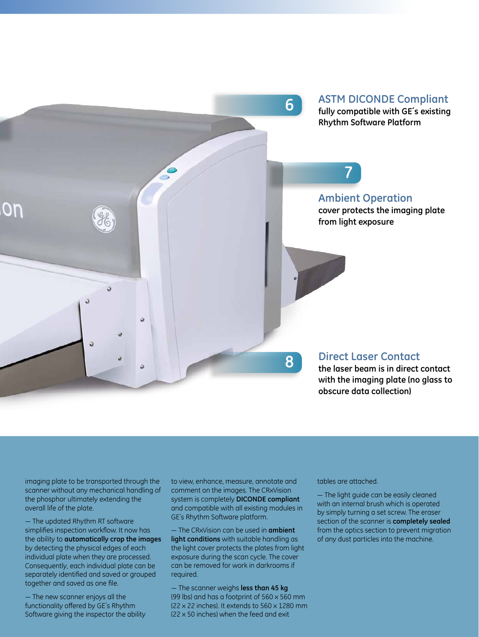

imaging plate to be transported through the scanner without any mechanical handling of the phosphor ultimately extending the overall life of the plate.

— The updated Rhythm RT software simplifies inspection workflow. It now has the ability to **automatically crop the images** by detecting the physical edges of each individual plate when they are processed. Consequently, each individual plate can be separately identified and saved or grouped together and saved as one file.

— The new scanner enjoys all the functionality offered by GE´s Rhythm Software giving the inspector the ability to view, enhance, measure, annotate and comment on the images. The CRxVision system is completely **DICONDE compliant**  and compatible with all existing modules in GE´s Rhythm Software platform.

— The CRxVision can be used in **ambient light conditions** with suitable handling as the light cover protects the plates from light exposure during the scan cycle. The cover can be removed for work in darkrooms if required.

— The scanner weighs **less than 45 kg** (99 lbs) and has a footprint of 560 x 560 mm (22 x 22 inches). It extends to 560 x 1280 mm (22 x 50 inches) when the feed and exit

tables are attached.

— The light guide can be easily cleaned with an internal brush which is operated by simply turning a set screw. The eraser section of the scanner is **completely sealed** from the optics section to prevent migration of any dust particles into the machine.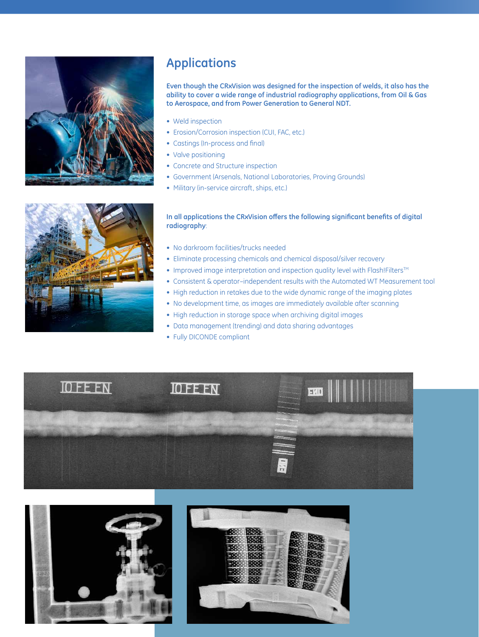

# **Applications**

**Even though the CRxVision was designed for the inspection of welds, it also has the ability to cover a wide range of industrial radiography applications, from Oil & Gas to Aerospace, and from Power Generation to General NDT.**

- Weld inspection
- Erosion/Corrosion inspection (CUI, FAC, etc.)
- Castings (In-process and final)
- Valve positioning
- Concrete and Structure inspection
- Government (Arsenals, National Laboratories, Proving Grounds)
- Military (in-service aircraft, ships, etc.)



### **In all applications the CRxVision offers the following significant benefits of digital radiography**:

- No darkroom facilities/trucks needed
- Eliminate processing chemicals and chemical disposal/silver recovery
- Improved image interpretation and inspection quality level with Flash!Filters™
- Consistent & operator–independent results with the Automated WT Measurement tool
- High reduction in retakes due to the wide dynamic range of the imaging plates
- No development time, as images are immediately available after scanning
- High reduction in storage space when archiving digital images
- Data management (trending) and data sharing advantages
- Fully DICONDE compliant





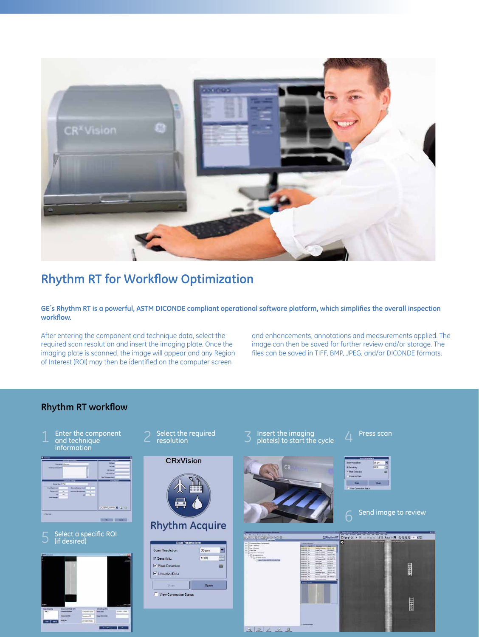

# **Rhythm RT for Workflow Optimization**

**GE´s Rhythm RT is a powerful, ASTM DICONDE compliant operational software platform, which simplifies the overall inspection workflow.**

After entering the component and technique data, select the required scan resolution and insert the imaging plate. Once the imaging plate is scanned, the image will appear and any Region of Interest (ROI) may then be identified on the computer screen

and enhancements, annotations and measurements applied. The image can then be saved for further review and/or storage. The files can be saved in TIFF, BMP, JPEG, and/or DICONDE formats.

### **Rhythm RT workflow**

Enter the component 1 Enter the component 2 Select the required<br>
2 resolution information



Select a specific ROI<br>(if desired)



**CRxVision** 



# **Rhythm Acquire**

| Scan Resolution:             | $35 \mu m$ |
|------------------------------|------------|
| IP Sensitivity:              | 1000<br>÷  |
| $\checkmark$ Plate Detection | 础          |
| V Linearize Data             |            |
| Scan                         | Open       |
| View Connection Status       |            |
|                              |            |
|                              |            |

- Insert the imaging  $\rho$  Press scan plate(s) to start the cycle  $\overline{4}$ 
	-





Send image to review

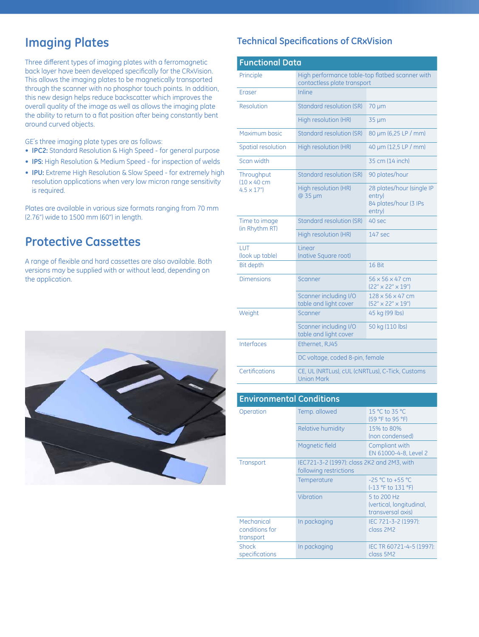Three different types of imaging plates with a ferromagnetic back layer have been developed specifically for the CRxVision. This allows the imaging plates to be magnetically transported through the scanner with no phosphor touch points. In addition, this new design helps reduce backscatter which improves the overall quality of the image as well as allows the imaging plate the ability to return to a flat position after being constantly bent around curved objects.

GE´s three imaging plate types are as follows:

- **• IPC2:** Standard Resolution & High Speed for general purpose
- **• IPS:** High Resolution & Medium Speed for inspection of welds
- **• IPU:** Extreme High Resolution & Slow Speed for extremely high resolution applications when very low micron range sensitivity is required.

Plates are available in various size formats ranging from 70 mm (2.76") wide to 1500 mm (60") in length.

# **Protective Cassettes**

A range of flexible and hard cassettes are also available. Both versions may be supplied with or without lead, depending on the application.



# **Imaging Plates Technical Specifications of CRxVision**

| <b>Functional Data</b>                              |                                                                                |                                                                        |  |
|-----------------------------------------------------|--------------------------------------------------------------------------------|------------------------------------------------------------------------|--|
| Principle                                           | High performance table-top flatbed scanner with<br>contactless plate transport |                                                                        |  |
| <b>Eraser</b>                                       | Inline                                                                         |                                                                        |  |
| Resolution                                          | <b>Standard resolution (SR)</b>                                                | $70 \mu m$                                                             |  |
|                                                     | High resolution (HR)                                                           | $35 \mu m$                                                             |  |
| Maximum basic                                       | <b>Standard resolution (SR)</b>                                                | 80 µm (6,25 LP / mm)                                                   |  |
| Spatial resolution                                  | High resolution (HR)                                                           | 40 µm (12,5 LP / mm)                                                   |  |
| Scan width                                          |                                                                                | 35 cm (14 inch)                                                        |  |
| Throughput<br>$10 \times 40$ cm<br>$4.5 \times 17"$ | <b>Standard resolution (SR)</b>                                                | 90 plates/hour                                                         |  |
|                                                     | High resolution (HR)<br>@ 35 µm                                                | 28 plates/hour (single IP<br>entry)<br>84 plates/hour (3 IPs<br>entry) |  |
| Time to image<br>(in Rhythm RT)                     | <b>Standard resolution (SR)</b>                                                | 40 sec                                                                 |  |
|                                                     | High resolution (HR)                                                           | 147 sec                                                                |  |
| LUT<br>(look up table)                              | Linear<br>(native Square root)                                                 |                                                                        |  |
| <b>Bit depth</b>                                    |                                                                                | 16 Bit                                                                 |  |
| <b>Dimensions</b>                                   | Scanner                                                                        | 56 x 56 x 47 cm<br>(22" x 22" x 19")                                   |  |
|                                                     | Scanner including I/O<br>table and light cover                                 | 128 x 56 x 47 cm<br>(52" x 22" x 19")                                  |  |
| Weight                                              | Scanner                                                                        | 45 kg (99 lbs)                                                         |  |
|                                                     | Scanner including I/O<br>table and light cover                                 | 50 kg (110 lbs)                                                        |  |
| Interfaces                                          | Ethernet, RJ45                                                                 |                                                                        |  |
|                                                     | DC voltage, coded 8-pin, female                                                |                                                                        |  |
| Certifications                                      | CE, UL (NRTLus), cUL (CNRTLus), C-Tick, Customs<br><b>Union Mark</b>           |                                                                        |  |
|                                                     |                                                                                |                                                                        |  |
| <b>Environmental Conditions</b>                     |                                                                                |                                                                        |  |
| Operation                                           | Temp. allowed                                                                  | 15 °C to 35 °C                                                         |  |

| Operation                                 | Temp. allowed                                                        | 15 °C to 35 °C<br>(59 °F to 95 °F)                           |
|-------------------------------------------|----------------------------------------------------------------------|--------------------------------------------------------------|
|                                           | <b>Relative humidity</b>                                             | 15% to 80%<br>(non condensed)                                |
|                                           | Magnetic field                                                       | Compliant with<br>EN 61000-4-8, Level 2                      |
| Transport                                 | IEC721-3-2 (1997): class 2K2 and 2M3, with<br>following restrictions |                                                              |
|                                           | Temperature                                                          | $-25$ °C to $+55$ °C<br>(-13 °F to 131 °F)                   |
|                                           | Vibration                                                            | 5 to 200 Hz<br>(vertical, longitudinal,<br>transversal axis) |
| Mechanical<br>conditions for<br>transport | In packaging                                                         | IEC 721-3-2 (1997):<br>class 2M2                             |
| <b>Shock</b><br>specifications            | In packaging                                                         | IEC TR 60721-4-5 (1997):<br>class 5M2                        |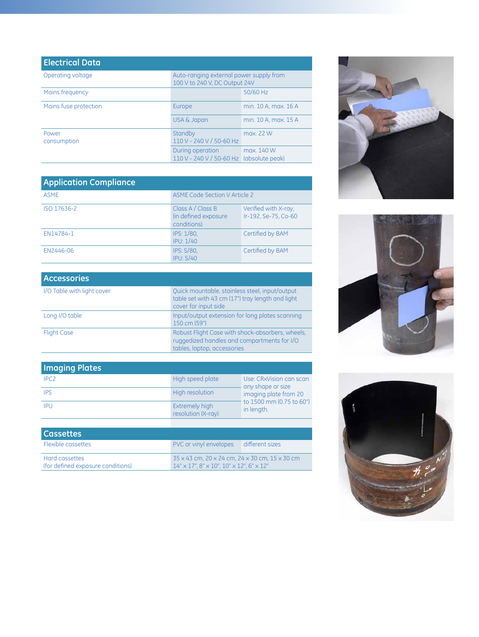| <b>Electrical Data</b> |                                                                          |                      |
|------------------------|--------------------------------------------------------------------------|----------------------|
| Operating voltage      | Auto-ranging external power supply from<br>100 V to 240 V, DC Output 24V |                      |
| Mains frequency        |                                                                          | 50/60 Hz             |
| Mains fuse protection  | Europe                                                                   | min. 10 A, max. 16 A |
|                        | <b>USA &amp; Japan</b>                                                   | min. 10 A, max. 15 A |
| Power<br>consumption   | Standby<br>110 V - 240 V / 50-60 Hz                                      | max. 22 W            |
|                        | During operation<br>110 V - 240 V / 50-60 Hz (absolute peak)             | max. 140 W           |

| <b>Application Compliance</b> |                                                           |                                              |
|-------------------------------|-----------------------------------------------------------|----------------------------------------------|
| <b>ASME</b>                   | <b>ASME Code Section V Article 2</b>                      |                                              |
| ISO 17636-2                   | Class A / Class B<br>(in defined exposure)<br>conditions) | Verified with X-ray.<br>Ir-192, Se-75, Co-60 |
| EN14784-1                     | IPS: 1/80.<br><b>IPU: 1/40</b>                            | Certified by BAM                             |
| EN2446-06                     | <b>IPS: S/80.</b><br>IPU: S/40                            | Certified by BAM                             |

| <b>Accessories</b>         |                                                                                                                                |
|----------------------------|--------------------------------------------------------------------------------------------------------------------------------|
| I/O Table with light cover | Quick mountable, stainless steel, input/output<br>table set with 43 cm (17") tray length and light<br>cover for input side     |
| Long I/O table             | Input/output extension for long plates scanning<br>150 cm (59")                                                                |
| <b>Flight Case</b>         | Robust Flight Case with shock-absorbers, wheels,<br>ruggedized handles and compartments for I/O<br>tables, laptop, accessories |

| <b>Imaging Plates</b> |                                             |                                                      |
|-----------------------|---------------------------------------------|------------------------------------------------------|
| IPC <sub>2</sub>      | High speed plate                            | Use: CRxVision can scan<br>any shape or size         |
| <b>IPS</b>            | High resolution                             | imaging plate from 20                                |
| IPU                   | <b>Extremely high</b><br>resolution (X-ray) | $\frac{1}{2}$ to 1500 mm (0.75 to 60")<br>in length. |
|                       |                                             |                                                      |

| <b>Cassettes</b>                  |                                                                         |  |
|-----------------------------------|-------------------------------------------------------------------------|--|
| <b>Flexible cassettes</b>         | PVC or vinyl envelopes different sizes                                  |  |
| Hard cassettes                    | 35 x 43 cm, 20 x 24 cm, 24 x 30 cm, 15 x 30 cm                          |  |
| (for defined exposure conditions) | $14'' \times 17''$ . 8" $\times$ 10". 10" $\times$ 12". 6" $\times$ 12" |  |